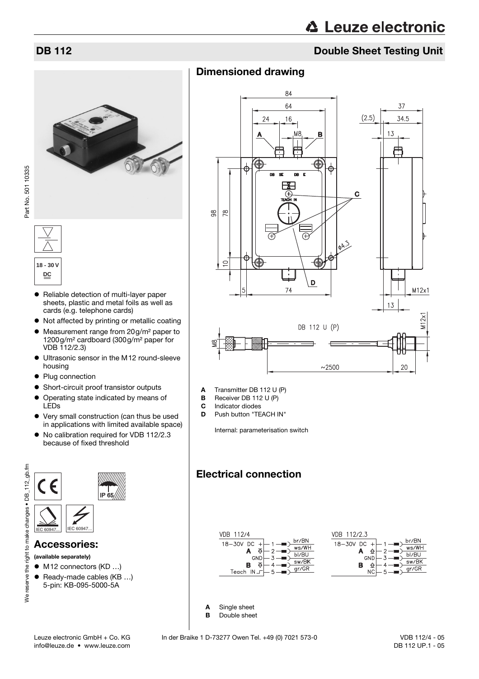# **DB 112** Double Sheet Testing Unit

### Dimensioned drawing



Part No. 501 10335 Part No. 501 10335



- Reliable detection of multi-layer paper sheets, plastic and metal foils as well as cards (e.g. telephone cards)
- Not affected by printing or metallic coating
- Measurement range from 20g/m<sup>2</sup> paper to 1200g/m² cardboard (300g/m² paper for VDB 112/2.3)
- Ultrasonic sensor in the M12 round-sleeve housing
- Plug connection
- Short-circuit proof transistor outputs
- Operating state indicated by means of LEDs
- Very small construction (can thus be used in applications with limited available space)
- No calibration required for VDB 112/2.3 because of fixed threshold



- $\bullet$  M12 connectors (KD ...)
- $\bullet$  Ready-made cables (KB ...) 5-pin: KB-095-5000-5A

A Transmitter DB 112 U (P)

- **B** Receiver DB 112 U (P)<br>**C** Indicator diodes
- **C** Indicator diodes<br>**D** Push button "TE Push button "TEACH IN"

Internal: parameterisation switch

# Electrical connection



A Single sheet B Double sheet br/BN

ws/WH

bl/BU

 $sw/BK$ 

 $gr/GR$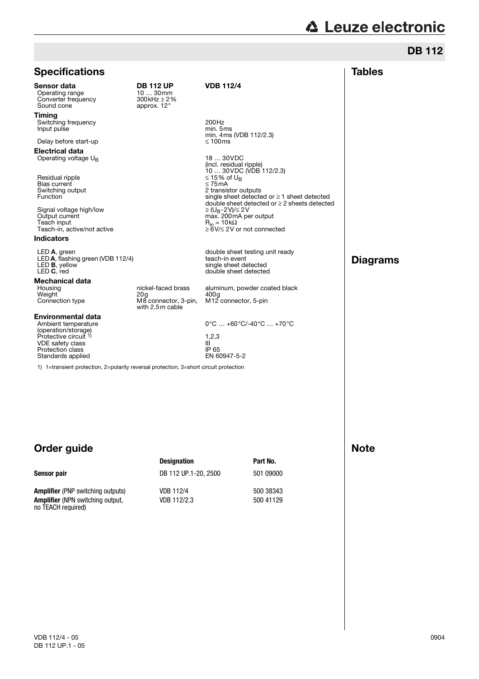# **A Leuze electronic**

Note

| <b>Specifications</b>                                                                                                                                                |                                                                      |                                                                                                                                                                     | <b>Tables</b>   |
|----------------------------------------------------------------------------------------------------------------------------------------------------------------------|----------------------------------------------------------------------|---------------------------------------------------------------------------------------------------------------------------------------------------------------------|-----------------|
| Sensor data<br>Operating range<br>Converter frequency<br>Sound cone                                                                                                  | <b>DB 112 UP</b><br>$1030$ mm<br>$300$ kHz $\pm 2\%$<br>approx. 12°  | <b>VDB 112/4</b>                                                                                                                                                    |                 |
| Timing<br>Switching frequency<br>Input pulse                                                                                                                         |                                                                      | 200Hz<br>min. 5ms<br>min. 4 ms (VDB 112/2.3)                                                                                                                        |                 |
| Delay before start-up                                                                                                                                                |                                                                      | ≤ 100 $ms$                                                                                                                                                          |                 |
| <b>Electrical data</b><br>Operating voltage $U_B$                                                                                                                    |                                                                      | 18  30VDC<br>(incl. residual ripple)<br>10  30 VDC (VDB 112/2.3)                                                                                                    |                 |
| Residual ripple<br>Bias current<br>Switching output<br>Function                                                                                                      |                                                                      | ≤ 15% of U <sub>R</sub><br>$\leq$ 75 mA<br>2 transistor outputs<br>single sheet detected or $\geq 1$ sheet detected<br>double sheet detected or ≥ 2 sheets detected |                 |
| Signal voltage high/low<br>Output current<br>Teach input<br>Teach-in, active/not active                                                                              |                                                                      | $\geq$ (U <sub>R</sub> -2V)/ $\leq$ 2V<br>max. 200 mA per output<br>$R_{in} = 10k\Omega$<br>≥ 6V/≤ 2V or not connected                                              |                 |
| <b>Indicators</b>                                                                                                                                                    |                                                                      |                                                                                                                                                                     |                 |
| $LED A$ , green<br>LED A, flashing green (VDB 112/4)<br>LED <b>B</b> , yellow<br>LED C, red                                                                          |                                                                      | double sheet testing unit ready<br>teach-in event<br>single sheet detected<br>double sheet detected                                                                 | <b>Diagrams</b> |
| <b>Mechanical data</b><br>Housing<br>Weight<br>Connection type                                                                                                       | nickel-faced brass<br>20a<br>M8 connector, 3-pin,<br>with 2.5m cable | aluminum, powder coated black<br>400a<br>M12 connector, 5-pin                                                                                                       |                 |
| <b>Environmental data</b><br>Ambient temperature<br>(operation/storage)<br>Protective circuit 1)<br><b>VDE</b> safety class<br>Protection class<br>Standards applied |                                                                      | $0^{\circ}$ C $$ +60 $^{\circ}$ C/-40 $^{\circ}$ C $$ +70 $^{\circ}$ C                                                                                              |                 |
|                                                                                                                                                                      |                                                                      | 1,2,3<br>Ш<br>IP 65<br>EN 60947-5-2                                                                                                                                 |                 |
| 1) 1=transient protection, 2=polarity reversal protection, 3=short circuit protection                                                                                |                                                                      |                                                                                                                                                                     |                 |
|                                                                                                                                                                      |                                                                      |                                                                                                                                                                     |                 |

# Order guide

|                                                                                                           | <b>Designation</b>       | Part No.               |
|-----------------------------------------------------------------------------------------------------------|--------------------------|------------------------|
| Sensor pair                                                                                               | DB 112 UP.1-20, 2500     | 501 09000              |
| <b>Amplifier</b> (PNP switching outputs)<br><b>Amplifier</b> (NPN switching output,<br>no TEACH required) | VDB 112/4<br>VDB 112/2.3 | 500 38343<br>500 41129 |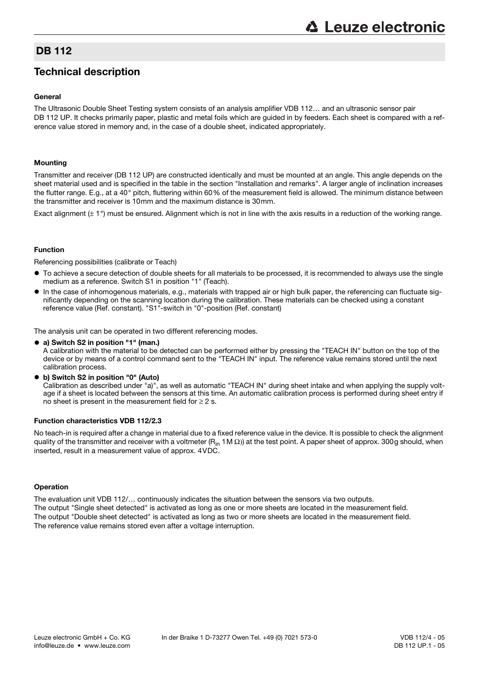### DB 112

## Technical description

#### General

The Ultrasonic Double Sheet Testing system consists of an analysis amplifier VDB 112… and an ultrasonic sensor pair DB 112 UP. It checks primarily paper, plastic and metal foils which are guided in by feeders. Each sheet is compared with a reference value stored in memory and, in the case of a double sheet, indicated appropriately.

#### Mounting

Transmitter and receiver (DB 112 UP) are constructed identically and must be mounted at an angle. This angle depends on the sheet material used and is specified in the table in the section "Installation and remarks". A larger angle of inclination increases the flutter range. E.g., at a 40° pitch, fluttering within 60% of the measurement field is allowed. The minimum distance between the transmitter and receiver is 10mm and the maximum distance is 30mm.

Exact alignment  $(\pm 1^{\circ})$  must be ensured. Alignment which is not in line with the axis results in a reduction of the working range.

#### Function

Referencing possibilities (calibrate or Teach)

- $\bullet$  To achieve a secure detection of double sheets for all materials to be processed, it is recommended to always use the single medium as a reference. Switch S1 in position "1" (Teach).
- $\bullet$  In the case of inhomogenous materials, e.g., materials with trapped air or high bulk paper, the referencing can fluctuate significantly depending on the scanning location during the calibration. These materials can be checked using a constant reference value (Ref. constant). "S1"-switch in "0"-position (Ref. constant)

The analysis unit can be operated in two different referencing modes.

• a) Switch S2 in position "1" (man.)

A calibration with the material to be detected can be performed either by pressing the "TEACH IN" button on the top of the device or by means of a control command sent to the "TEACH IN" input. The reference value remains stored until the next calibration process.

• b) Switch S2 in position "0" (Auto)

Calibration as described under "a)", as well as automatic "TEACH IN" during sheet intake and when applying the supply voltage if a sheet is located between the sensors at this time. An automatic calibration process is performed during sheet entry if no sheet is present in the measurement field for  $\geq 2$  s.

#### Function characteristics VDB 112/2.3

No teach-in is required after a change in material due to a fixed reference value in the device. It is possible to check the alignment quality of the transmitter and receiver with a voltmeter (R<sub>in</sub> 1M  $\Omega$ )) at the test point. A paper sheet of approx. 300g should, when inserted, result in a measurement value of approx. 4VDC.

#### **Operation**

The evaluation unit VDB 112/… continuously indicates the situation between the sensors via two outputs. The output "Single sheet detected" is activated as long as one or more sheets are located in the measurement field. The output "Double sheet detected" is activated as long as two or more sheets are located in the measurement field. The reference value remains stored even after a voltage interruption.